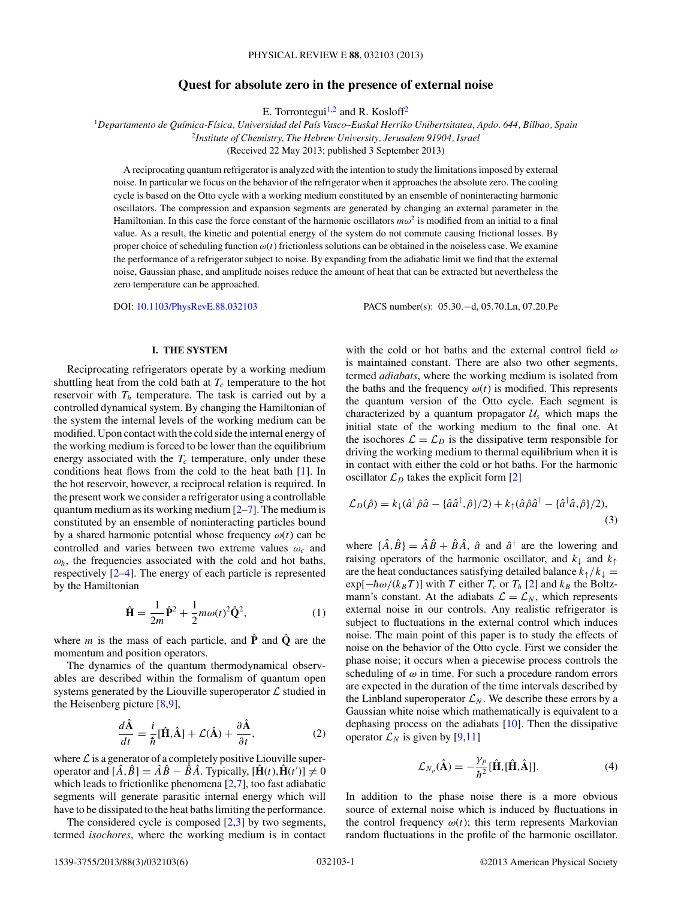# **Quest for absolute zero in the presence of external noise**

E. Torrontegui<sup>1,2</sup> and R. Kosloff<sup>2</sup>

<span id="page-0-0"></span><sup>1</sup>*Departamento de Qu´ımica-F´ısica, Universidad del Pa´ıs Vasco–Euskal Herriko Unibertsitatea, Apdo. 644, Bilbao, Spain* <sup>2</sup>*Institute of Chemistry, The Hebrew University, Jerusalem 91904, Israel*

(Received 22 May 2013; published 3 September 2013)

A reciprocating quantum refrigerator is analyzed with the intention to study the limitations imposed by external noise. In particular we focus on the behavior of the refrigerator when it approaches the absolute zero. The cooling cycle is based on the Otto cycle with a working medium constituted by an ensemble of noninteracting harmonic oscillators. The compression and expansion segments are generated by changing an external parameter in the Hamiltonian. In this case the force constant of the harmonic oscillators  $m\omega^2$  is modified from an initial to a final value. As a result, the kinetic and potential energy of the system do not commute causing frictional losses. By proper choice of scheduling function *ω*(*t*) frictionless solutions can be obtained in the noiseless case. We examine the performance of a refrigerator subject to noise. By expanding from the adiabatic limit we find that the external noise, Gaussian phase, and amplitude noises reduce the amount of heat that can be extracted but nevertheless the zero temperature can be approached.

DOI: [10.1103/PhysRevE.88.032103](http://dx.doi.org/10.1103/PhysRevE.88.032103) PACS number(s): 05*.*30*.*−d, 05*.*70*.*Ln, 07*.*20*.*Pe

## **I. THE SYSTEM**

Reciprocating refrigerators operate by a working medium shuttling heat from the cold bath at  $T_c$  temperature to the hot reservoir with  $T<sub>h</sub>$  temperature. The task is carried out by a controlled dynamical system. By changing the Hamiltonian of the system the internal levels of the working medium can be modified. Upon contact with the cold side the internal energy of the working medium is forced to be lower than the equilibrium energy associated with the  $T_c$  temperature, only under these conditions heat flows from the cold to the heat bath [\[1\]](#page-5-0). In the hot reservoir, however, a reciprocal relation is required. In the present work we consider a refrigerator using a controllable quantum medium as its working medium  $[2-7]$ . The medium is constituted by an ensemble of noninteracting particles bound by a shared harmonic potential whose frequency  $\omega(t)$  can be controlled and varies between two extreme values *ωc* and  $\omega_h$ , the frequencies associated with the cold and hot baths, respectively [\[2–4\]](#page-5-0). The energy of each particle is represented by the Hamiltonian

$$
\hat{\mathbf{H}} = \frac{1}{2m}\hat{\mathbf{P}}^2 + \frac{1}{2}m\omega(t)^2\hat{\mathbf{Q}}^2,\tag{1}
$$

where *m* is the mass of each particle, and  $\hat{P}$  and  $\hat{Q}$  are the momentum and position operators.

The dynamics of the quantum thermodynamical observables are described within the formalism of quantum open systems generated by the Liouville superoperator  $\mathcal L$  studied in the Heisenberg picture  $[8,9]$ ,

$$
\frac{d\hat{\mathbf{A}}}{dt} = \frac{i}{\hbar}[\hat{\mathbf{H}}, \hat{\mathbf{A}}] + \mathcal{L}(\hat{\mathbf{A}}) + \frac{\partial \hat{\mathbf{A}}}{\partial t},
$$
(2)

where  $\mathcal L$  is a generator of a completely positive Liouville superoperator and  $[\hat{A}, \hat{B}] = \hat{A}\hat{B} - \hat{B}\hat{A}$ . Typically,  $[\hat{H}(t), \hat{H}(t')] \neq 0$ which leads to frictionlike phenomena [\[2,7\]](#page-5-0), too fast adiabatic segments will generate parasitic internal energy which will have to be dissipated to the heat baths limiting the performance.

The considered cycle is composed  $[2,3]$  by two segments, termed *isochores*, where the working medium is in contact

with the cold or hot baths and the external control field *ω* is maintained constant. There are also two other segments, termed *adiabats*, where the working medium is isolated from the baths and the frequency  $\omega(t)$  is modified. This represents the quantum version of the Otto cycle. Each segment is characterized by a quantum propagator  $U_s$  which maps the initial state of the working medium to the final one. At the isochores  $\mathcal{L} = \mathcal{L}_D$  is the dissipative term responsible for driving the working medium to thermal equilibrium when it is in contact with either the cold or hot baths. For the harmonic oscillator  $\mathcal{L}_D$  takes the explicit form [\[2\]](#page-5-0)

$$
\mathcal{L}_D(\hat{\rho}) = k_{\downarrow}(\hat{a}^\dagger \hat{\rho} \hat{a} - \{\hat{a} \hat{a}^\dagger, \hat{\rho}\}/2) + k_{\uparrow}(\hat{a} \hat{\rho} \hat{a}^\dagger - \{\hat{a}^\dagger \hat{a}, \hat{\rho}\}/2),
$$
\n(3)

where  $\{\hat{A}, \hat{B}\} = \hat{A}\hat{B} + \hat{B}\hat{A}$ ,  $\hat{a}$  and  $\hat{a}^{\dagger}$  are the lowering and raising operators of the harmonic oscillator, and  $k_{\perp}$  and  $k_{\uparrow}$ are the heat conductances satisfying detailed balance  $k_{\uparrow}/k_{\downarrow} =$  $\exp[-\hbar\omega/(k_B T)]$  with *T* either  $T_c$  or  $T_h$  [\[2\]](#page-5-0) and  $k_B$  the Boltzmann's constant. At the adiabats  $\mathcal{L} = \mathcal{L}_N$ , which represents external noise in our controls. Any realistic refrigerator is subject to fluctuations in the external control which induces noise. The main point of this paper is to study the effects of noise on the behavior of the Otto cycle. First we consider the phase noise; it occurs when a piecewise process controls the scheduling of  $\omega$  in time. For such a procedure random errors are expected in the duration of the time intervals described by the Linbland superoperator  $\mathcal{L}_N$ . We describe these errors by a Gaussian white noise which mathematically is equivalent to a dephasing process on the adiabats [\[10\]](#page-5-0). Then the dissipative operator  $\mathcal{L}_N$  is given by [\[9,11\]](#page-5-0)

$$
\mathcal{L}_{N_p}(\hat{\mathbf{A}}) = -\frac{\gamma_p}{\hbar^2} [\hat{\mathbf{H}}, [\hat{\mathbf{H}}, \hat{\mathbf{A}}]]. \tag{4}
$$

In addition to the phase noise there is a more obvious source of external noise which is induced by fluctuations in the control frequency  $\omega(t)$ ; this term represents Markovian random fluctuations in the profile of the harmonic oscillator.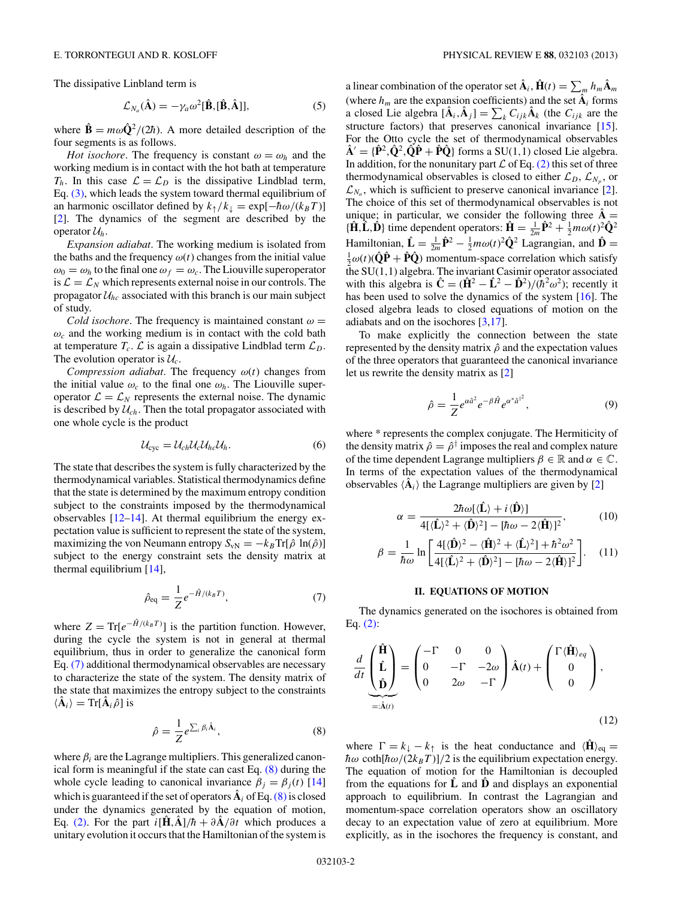The dissipative Linbland term is

$$
\mathcal{L}_{N_a}(\hat{\mathbf{A}}) = -\gamma_a \omega^2 [\hat{\mathbf{B}}, [\hat{\mathbf{B}}, \hat{\mathbf{A}}]], \tag{5}
$$

where  $\hat{\mathbf{B}} = m\omega \hat{\mathbf{Q}}^2/(2\hbar)$ . A more detailed description of the four segments is as follows.

*Hot isochore*. The frequency is constant  $\omega = \omega_h$  and the working medium is in contact with the hot bath at temperature  $T_h$ . In this case  $\mathcal{L} = \mathcal{L}_D$  is the dissipative Lindblad term, Eq. [\(3\),](#page-0-0) which leads the system toward thermal equilibrium of an harmonic oscillator defined by  $k_{\uparrow}/k_{\downarrow} = \exp[-\hbar \omega/(k_B T)]$ [\[2\]](#page-5-0). The dynamics of the segment are described by the operator  $\mathcal{U}_h$ .

*Expansion adiabat*. The working medium is isolated from the baths and the frequency  $\omega(t)$  changes from the initial value  $\omega_0 = \omega_h$  to the final one  $\omega_f = \omega_c$ . The Liouville superoperator is  $\mathcal{L} = \mathcal{L}_N$  which represents external noise in our controls. The propagator  $\mathcal{U}_{hc}$  associated with this branch is our main subject of study.

*Cold isochore*. The frequency is maintained constant  $\omega$  =  $\omega_c$  and the working medium is in contact with the cold bath at temperature  $T_c$ .  $\mathcal L$  is again a dissipative Lindblad term  $\mathcal L_D$ . The evolution operator is  $\mathcal{U}_c$ .

*Compression adiabat*. The frequency *ω*(*t*) changes from the initial value  $\omega_c$  to the final one  $\omega_h$ . The Liouville superoperator  $\mathcal{L} = \mathcal{L}_N$  represents the external noise. The dynamic is described by  $U_{ch}$ . Then the total propagator associated with one whole cycle is the product

$$
\mathcal{U}_{\text{cyc}} = \mathcal{U}_{ch} \mathcal{U}_c \mathcal{U}_{hc} \mathcal{U}_h. \tag{6}
$$

The state that describes the system is fully characterized by the thermodynamical variables. Statistical thermodynamics define that the state is determined by the maximum entropy condition subject to the constraints imposed by the thermodynamical observables  $[12-14]$ . At thermal equilibrium the energy expectation value is sufficient to represent the state of the system, maximizing the von Neumann entropy  $S_{vN} = -k_B \text{Tr}[\hat{\rho} \ln(\hat{\rho})]$ subject to the energy constraint sets the density matrix at thermal equilibrium [\[14\]](#page-5-0),

$$
\hat{\rho}_{\text{eq}} = \frac{1}{Z} e^{-\hat{H}/(k_B T)},\tag{7}
$$

where  $Z = \text{Tr}[e^{-\hat{H}/(k_B T)}]$  is the partition function. However, during the cycle the system is not in general at thermal equilibrium, thus in order to generalize the canonical form Eq. (7) additional thermodynamical observables are necessary to characterize the state of the system. The density matrix of the state that maximizes the entropy subject to the constraints  $\langle \hat{\mathbf{A}}_i \rangle = \text{Tr}[\hat{\mathbf{A}}_i \hat{\rho}]$  is

$$
\hat{\rho} = \frac{1}{Z} e^{\sum_{i} \beta_{i} \hat{\mathbf{A}}_{i}}, \tag{8}
$$

where  $\beta_i$  are the Lagrange multipliers. This generalized canonical form is meaningful if the state can cast Eq. (8) during the whole cycle leading to canonical invariance  $\beta_i = \beta_i(t)$  [\[14\]](#page-5-0) which is guaranteed if the set of operators  $\hat{A}_i$  of Eq. (8) is closed under the dynamics generated by the equation of motion, Eq. [\(2\).](#page-0-0) For the part  $i[\hat{H}, \hat{A}]/\hbar + \partial \hat{A}/\partial t$  which produces a unitary evolution it occurs that the Hamiltonian of the system is

a linear combination of the operator set  $\hat{A}_i$ ,  $\hat{H}(t) = \sum_m h_m \hat{A}_m$ (where  $h_m$  are the expansion coefficients) and the set  $\hat{A}_i$  forms a closed Lie algebra  $[\hat{A}_i, \hat{A}_j] = \sum_k C_{ijk} \hat{A}_k$  (the  $C_{ijk}$  are the structure factors) that preserves canonical invariance [\[15\]](#page-5-0). For the Otto cycle the set of thermodynamical observables  $\hat{\mathbf{A}}' = {\hat{\mathbf{P}}^2, \hat{\mathbf{Q}}^2, \hat{\mathbf{Q}}\hat{\mathbf{P}}} + \hat{\mathbf{P}}\hat{\mathbf{Q}}$ } forms a SU(1,1) closed Lie algebra. In addition, for the nonunitary part  $\mathcal L$  of Eq. [\(2\)](#page-0-0) this set of three thermodynamical observables is closed to either  $\mathcal{L}_D$ ,  $\mathcal{L}_{N_p}$ , or  $\mathcal{L}_{N_a}$ , which is sufficient to preserve canonical invariance [\[2\]](#page-5-0). The choice of this set of thermodynamical observables is not unique; in particular, we consider the following three  $\hat{A}$  =  ${\hat{\mathbf{H}}}\cdot\hat{\mathbf{L}}$ ,  $\hat{\mathbf{D}}$ } time dependent operators:  $\hat{\mathbf{H}} = \frac{1}{2m}\hat{\mathbf{P}}^2 + \frac{1}{2}m\omega(t)^2\hat{\mathbf{Q}}^2$ Hamiltonian,  $\hat{\mathbf{L}} = \frac{1}{2m}\hat{\mathbf{P}}^2 - \frac{1}{2}m\omega(t)^2\hat{\mathbf{Q}}^2$  Lagrangian, and  $\hat{\mathbf{D}} = \frac{1}{2m}(t)\hat{\mathbf{Q}}\hat{\mathbf{P}} + \hat{\mathbf{P}}\hat{\mathbf{Q}}$  momentum space correlation which satisfy  $\frac{1}{2}\omega(t)(\hat{\mathbf{Q}}\hat{\mathbf{P}} + \hat{\mathbf{P}}\hat{\mathbf{Q}})$  momentum-space correlation which satisfy the SU(1*,*1) algebra. The invariant Casimir operator associated with this algebra is  $\hat{\mathbf{C}} = (\hat{\mathbf{H}}^2 - \hat{\mathbf{L}}^2 - \hat{\mathbf{D}}^2)/(\hbar^2 \omega^2)$ ; recently it has been used to solve the dynamics of the system [\[16\]](#page-5-0). The closed algebra leads to closed equations of motion on the adiabats and on the isochores [\[3,17\]](#page-5-0).

To make explicitly the connection between the state represented by the density matrix  $\hat{\rho}$  and the expectation values of the three operators that guaranteed the canonical invariance let us rewrite the density matrix as [\[2\]](#page-5-0)

$$
\hat{\rho} = \frac{1}{Z} e^{\alpha \hat{a}^2} e^{-\beta \hat{H}} e^{\alpha^* \hat{a}^{\dagger^2}}, \tag{9}
$$

where \* represents the complex conjugate. The Hermiticity of the density matrix  $\hat{\rho} = \hat{\rho}^{\dagger}$  imposes the real and complex nature of the time dependent Lagrange multipliers  $\beta \in \mathbb{R}$  and  $\alpha \in \mathbb{C}$ . In terms of the expectation values of the thermodynamical observables  $\langle \hat{A}_i \rangle$  the Lagrange multipliers are given by [\[2\]](#page-5-0)

$$
\alpha = \frac{2\hbar\omega[\langle \hat{\mathbf{L}} \rangle + i \langle \hat{\mathbf{D}} \rangle]}{4[\langle \hat{\mathbf{L}} \rangle^2 + \langle \hat{\mathbf{D}} \rangle^2] - [\hbar\omega - 2 \langle \hat{\mathbf{H}} \rangle]^2},\tag{10}
$$

$$
\beta = \frac{1}{\hbar\omega} \ln \left[ \frac{4[\langle \hat{\mathbf{D}}\rangle^2 - \langle \hat{\mathbf{H}}\rangle^2 + \langle \hat{\mathbf{L}}\rangle^2] + \hbar^2 \omega^2}{4[\langle \hat{\mathbf{L}}\rangle^2 + \langle \hat{\mathbf{D}}\rangle^2] - [\hbar\omega - 2\langle \hat{\mathbf{H}}\rangle]^2} \right].
$$
 (11)

### **II. EQUATIONS OF MOTION**

The dynamics generated on the isochores is obtained from Eq.  $(2)$ :

$$
\frac{d}{dt} \underbrace{\begin{pmatrix} \hat{\mathbf{H}} \\ \hat{\mathbf{L}} \\ \hat{\mathbf{D}} \end{pmatrix}}_{=: \hat{\mathbf{A}}(t)} = \begin{pmatrix} -\Gamma & 0 & 0 \\ 0 & -\Gamma & -2\omega \\ 0 & 2\omega & -\Gamma \end{pmatrix} \hat{\mathbf{A}}(t) + \begin{pmatrix} \Gamma \langle \hat{\mathbf{H}} \rangle_{eq} \\ 0 \\ 0 \end{pmatrix},
$$
\n(12)

where  $\Gamma = k_{\perp} - k_{\uparrow}$  is the heat conductance and  $\langle \mathbf{H} \rangle_{\text{eq}} =$  $\hbar\omega$  coth[ $\hbar\omega/(2k_BT)$ ]/2 is the equilibrium expectation energy. The equation of motion for the Hamiltonian is decoupled from the equations for **Lˆ** and **Dˆ** and displays an exponential approach to equilibrium. In contrast the Lagrangian and momentum-space correlation operators show an oscillatory decay to an expectation value of zero at equilibrium. More explicitly, as in the isochores the frequency is constant, and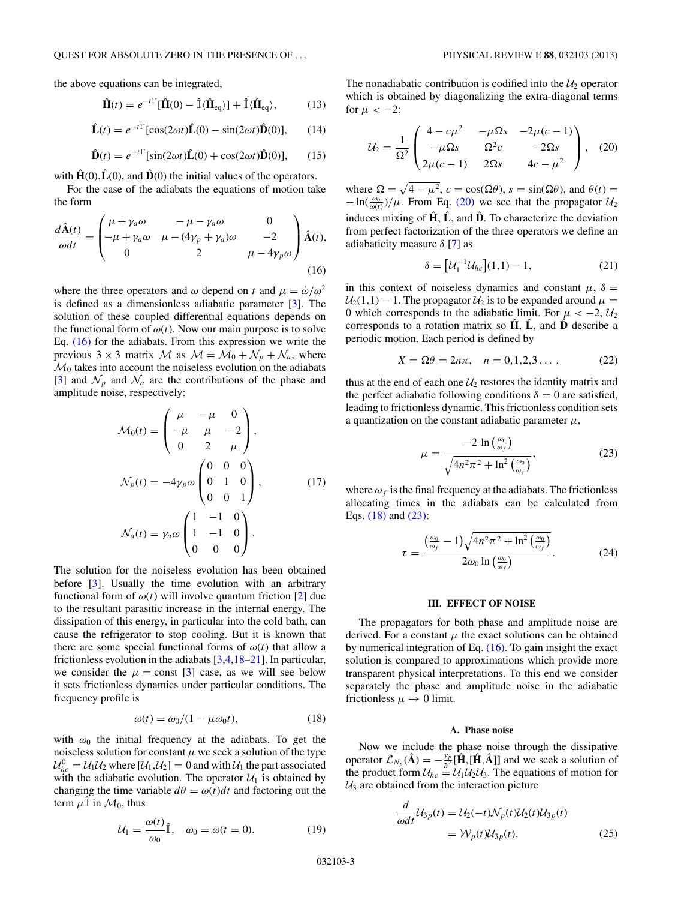<span id="page-2-0"></span>the above equations can be integrated,

$$
\hat{\mathbf{H}}(t) = e^{-t\Gamma}[\hat{\mathbf{H}}(0) - \hat{\mathbb{I}}\langle\hat{\mathbf{H}}_{\text{eq}}\rangle] + \hat{\mathbb{I}}\langle\hat{\mathbf{H}}_{\text{eq}}\rangle, \tag{13}
$$

$$
\hat{\mathbf{L}}(t) = e^{-t\Gamma} [\cos(2\omega t)\hat{\mathbf{L}}(0) - \sin(2\omega t)\hat{\mathbf{D}}(0)], \qquad (14)
$$

$$
\hat{\mathbf{D}}(t) = e^{-t\Gamma}[\sin(2\omega t)\hat{\mathbf{L}}(0) + \cos(2\omega t)\hat{\mathbf{D}}(0)],\qquad(15)
$$

with  $\hat{H}(0), \hat{L}(0)$ , and  $\hat{D}(0)$  the initial values of the operators.

For the case of the adiabats the equations of motion take the form

$$
\frac{d\hat{\mathbf{A}}(t)}{\omega dt} = \begin{pmatrix} \mu + \gamma_a \omega & -\mu - \gamma_a \omega & 0\\ -\mu + \gamma_a \omega & \mu - (4\gamma_p + \gamma_a)\omega & -2\\ 0 & 2 & \mu - 4\gamma_p \omega \end{pmatrix} \hat{\mathbf{A}}(t),\tag{16}
$$

where the three operators and  $\omega$  depend on *t* and  $\mu = \dot{\omega}/\omega^2$ is defined as a dimensionless adiabatic parameter [\[3\]](#page-5-0). The solution of these coupled differential equations depends on the functional form of  $\omega(t)$ . Now our main purpose is to solve Eq. (16) for the adiabats. From this expression we write the previous  $3 \times 3$  matrix M as  $\mathcal{M} = \mathcal{M}_0 + \mathcal{N}_p + \mathcal{N}_a$ , where  $\mathcal{M}_0$  takes into account the noiseless evolution on the adiabats [\[3\]](#page-5-0) and  $\mathcal{N}_p$  and  $\mathcal{N}_q$  are the contributions of the phase and amplitude noise, respectively:

$$
\mathcal{M}_0(t) = \begin{pmatrix} \mu & -\mu & 0 \\ -\mu & \mu & -2 \\ 0 & 2 & \mu \end{pmatrix},
$$
  

$$
\mathcal{N}_p(t) = -4\gamma_p \omega \begin{pmatrix} 0 & 0 & 0 \\ 0 & 1 & 0 \\ 0 & 0 & 1 \end{pmatrix}, \qquad (17)
$$
  

$$
\mathcal{N}_a(t) = \gamma_a \omega \begin{pmatrix} 1 & -1 & 0 \\ 1 & -1 & 0 \\ 0 & 0 & 0 \end{pmatrix}.
$$

The solution for the noiseless evolution has been obtained before [\[3\]](#page-5-0). Usually the time evolution with an arbitrary functional form of  $\omega(t)$  will involve quantum friction [\[2\]](#page-5-0) due to the resultant parasitic increase in the internal energy. The dissipation of this energy, in particular into the cold bath, can cause the refrigerator to stop cooling. But it is known that there are some special functional forms of  $\omega(t)$  that allow a frictionless evolution in the adiabats [\[3,4,18–21\]](#page-5-0). In particular, we consider the  $\mu$  = const [\[3\]](#page-5-0) case, as we will see below it sets frictionless dynamics under particular conditions. The frequency profile is

$$
\omega(t) = \omega_0/(1 - \mu \omega_0 t), \tag{18}
$$

with  $\omega_0$  the initial frequency at the adiabats. To get the noiseless solution for constant  $\mu$  we seek a solution of the type  $\mathcal{U}_{hc}^0 = \mathcal{U}_1 \mathcal{U}_2$  where  $[\mathcal{U}_1, \mathcal{U}_2] = 0$  and with  $\mathcal{U}_1$  the part associated with the adiabatic evolution. The operator  $U_1$  is obtained by changing the time variable  $d\theta = \omega(t)dt$  and factoring out the term  $\mu$ **l** in  $\mathcal{M}_0$ , thus

$$
\mathcal{U}_1 = \frac{\omega(t)}{\omega_0} \hat{\mathbb{I}}, \quad \omega_0 = \omega(t = 0). \tag{19}
$$

The nonadiabatic contribution is codified into the  $U_2$  operator which is obtained by diagonalizing the extra-diagonal terms for  $\mu < -2$ :

$$
\mathcal{U}_2 = \frac{1}{\Omega^2} \begin{pmatrix} 4 - c\mu^2 & -\mu\Omega s & -2\mu(c-1) \\ -\mu\Omega s & \Omega^2 c & -2\Omega s \\ 2\mu(c-1) & 2\Omega s & 4c - \mu^2 \end{pmatrix}, \quad (20)
$$

where  $\Omega = \sqrt{4 - \mu^2}$ ,  $c = \cos(\Omega \theta)$ ,  $s = \sin(\Omega \theta)$ , and  $\theta(t) =$  $-\ln(\frac{\omega_0}{\omega(t)})/\mu$ . From Eq. (20) we see that the propagator  $U_2$ induces mixing of  $\hat{H}$ ,  $\hat{L}$ , and  $\hat{D}$ . To characterize the deviation from perfect factorization of the three operators we define an adiabaticity measure *δ* [\[7\]](#page-5-0) as

$$
\delta = [U_1^{-1}U_{hc}](1,1) - 1,\t(21)
$$

in this context of noiseless dynamics and constant  $\mu$ ,  $\delta$  =  $U_2(1,1) - 1$ . The propagator  $U_2$  is to be expanded around  $\mu =$ 0 which corresponds to the adiabatic limit. For  $\mu < -2$ ,  $U_2$ corresponds to a rotation matrix so  $H$ ,  $L$ , and  $D$  describe a periodic motion. Each period is defined by

$$
X = \Omega \theta = 2n\pi, \quad n = 0, 1, 2, 3 \dots,
$$
 (22)

thus at the end of each one  $\mathcal{U}_2$  restores the identity matrix and the perfect adiabatic following conditions  $\delta = 0$  are satisfied, leading to frictionless dynamic. This frictionless condition sets a quantization on the constant adiabatic parameter  $\mu$ ,

$$
\mu = \frac{-2 \ln \left(\frac{\omega_0}{\omega_f}\right)}{\sqrt{4n^2\pi^2 + \ln^2 \left(\frac{\omega_0}{\omega_f}\right)}},\tag{23}
$$

where  $\omega_f$  is the final frequency at the adiabats. The frictionless allocating times in the adiabats can be calculated from Eqs. (18) and (23):

$$
\tau = \frac{\left(\frac{\omega_0}{\omega_f} - 1\right)\sqrt{4n^2\pi^2 + \ln^2\left(\frac{\omega_0}{\omega_f}\right)}}{2\omega_0 \ln\left(\frac{\omega_0}{\omega_f}\right)}.
$$
 (24)

#### **III. EFFECT OF NOISE**

The propagators for both phase and amplitude noise are derived. For a constant  $\mu$  the exact solutions can be obtained by numerical integration of Eq. (16). To gain insight the exact solution is compared to approximations which provide more transparent physical interpretations. To this end we consider separately the phase and amplitude noise in the adiabatic frictionless  $\mu \rightarrow 0$  limit.

### **A. Phase noise**

Now we include the phase noise through the dissipative operator  $\mathcal{L}_{N_p}(\hat{\mathbf{A}}) = -\frac{\gamma_p}{\hbar^2} [\hat{\mathbf{H}} , [\hat{\mathbf{H}} , \hat{\mathbf{A}}]]$  and we seek a solution of the product form  $U_{hc} = U_1 U_2 U_3$ . The equations of motion for  $U_3$  are obtained from the interaction picture

$$
\frac{d}{\omega dt} \mathcal{U}_{3p}(t) = \mathcal{U}_2(-t) \mathcal{N}_p(t) \mathcal{U}_2(t) \mathcal{U}_{3p}(t)
$$

$$
= \mathcal{W}_p(t) \mathcal{U}_{3p}(t), \tag{25}
$$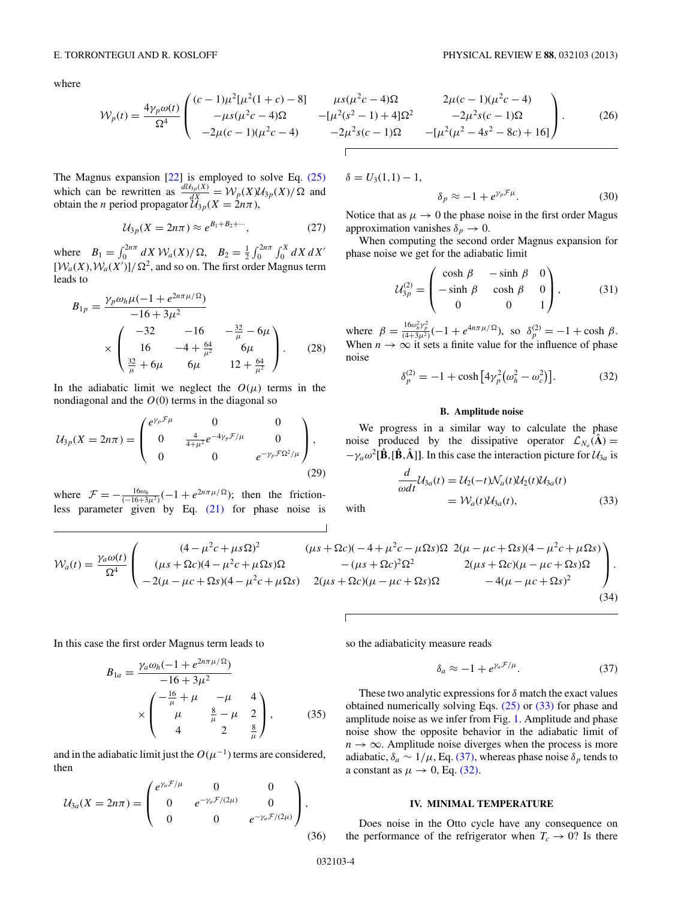<span id="page-3-0"></span>where

$$
W_p(t) = \frac{4\gamma_p \omega(t)}{\Omega^4} \begin{pmatrix} (c-1)\mu^2[\mu^2(1+c) - 8] & \mu s(\mu^2 c - 4)\Omega & 2\mu(c-1)(\mu^2 c - 4) \\ -\mu s(\mu^2 c - 4)\Omega & -[\mu^2(s^2 - 1) + 4]\Omega^2 & -2\mu^2 s(c - 1)\Omega \\ -2\mu(c - 1)(\mu^2 c - 4) & -2\mu^2 s(c - 1)\Omega & -[\mu^2(\mu^2 - 4s^2 - 8c) + 16] \end{pmatrix}.
$$
 (26)

The Magnus expansion [\[22\]](#page-5-0) is employed to solve Eq. [\(25\)](#page-2-0) which can be rewritten as  $\frac{dU_{3p}(X)}{dX} = \mathcal{W}_p(X) \mathcal{U}_{3p}(X) / \Omega$  and obtain the *n* period propagator  $U_{3p}(X = 2n\pi)$ ,

$$
\mathcal{U}_{3p}(X=2n\pi) \approx e^{B_1+B_2+\cdots},\tag{27}
$$

where  $B_1 = \int_0^{2n\pi} dX \mathcal{W}_a(X)/\Omega$ ,  $B_2 = \frac{1}{2} \int_0^{2n\pi} \int_0^X dX dX'$  $[W_a(X), W_a(X')] / \Omega^2$ , and so on. The first order Magnus term leads to

$$
B_{1p} = \frac{\gamma_p \omega_h \mu (-1 + e^{2n\pi \mu/\Omega})}{-16 + 3\mu^2}
$$
  
 
$$
\times \begin{pmatrix} -32 & -16 & -\frac{32}{\mu} - 6\mu \\ 16 & -4 + \frac{64}{\mu^2} & 6\mu \\ \frac{32}{\mu} + 6\mu & 6\mu & 12 + \frac{64}{\mu^2} \end{pmatrix}.
$$
 (28)

In the adiabatic limit we neglect the  $O(\mu)$  terms in the nondiagonal and the  $O(0)$  terms in the diagonal so

$$
U_{3p}(X=2n\pi) = \begin{pmatrix} e^{\gamma_p \mathcal{F}\mu} & 0 & 0 \\ 0 & \frac{4}{4+\mu^2} e^{-4\gamma_p \mathcal{F}/\mu} & 0 \\ 0 & 0 & e^{-\gamma_p \mathcal{F}\Omega^2/\mu} \end{pmatrix},
$$
(29)

where  $\mathcal{F} = -\frac{16\omega_h}{(-16+3\mu^2)}(-1+e^{2n\pi\mu/\Omega})$ ; then the frictionless parameter given by Eq. [\(21\)](#page-2-0) for phase noise is  $\delta = U_3(1,1) - 1$ ,

$$
\delta_p \approx -1 + e^{\gamma_p \mathcal{F}\mu}.\tag{30}
$$

Notice that as  $\mu \to 0$  the phase noise in the first order Magus approximation vanishes  $\delta_p \to 0$ .

When computing the second order Magnus expansion for phase noise we get for the adiabatic limit

$$
\mathcal{U}_{3p}^{(2)} = \begin{pmatrix} \cosh \beta & -\sinh \beta & 0\\ -\sinh \beta & \cosh \beta & 0\\ 0 & 0 & 1 \end{pmatrix},
$$
(31)

where  $\beta = \frac{16\omega_h^2 \gamma_p^2}{(4+3\mu^2)}(-1 + e^{4n\pi\mu/\Omega})$ , so  $\delta_p^{(2)} = -1 + \cosh \beta$ . When  $n \to \infty$  it sets a finite value for the influence of phase noise

$$
\delta_p^{(2)} = -1 + \cosh\left[4\gamma_p^2(\omega_h^2 - \omega_c^2)\right].
$$
 (32)

## **B. Amplitude noise**

We progress in a similar way to calculate the phase noise produced by the dissipative operator  $\mathcal{L}_{N_a}(\hat{\mathbf{A}}) =$  $-\gamma_a \omega^2 [\hat{\mathbf{B}} , [\hat{\mathbf{B}} , \hat{\mathbf{A}} ]]$ . In this case the interaction picture for  $\mathcal{U}_{3a}$  is

$$
\frac{d}{\omega dt} \mathcal{U}_{3a}(t) = \mathcal{U}_2(-t) \mathcal{N}_a(t) \mathcal{U}_2(t) \mathcal{U}_{3a}(t)
$$
\n
$$
= \mathcal{W}_a(t) \mathcal{U}_{3a}(t), \tag{33}
$$
\nwith

$$
W_a(t) = \frac{\gamma_a \omega(t)}{\Omega^4} \begin{pmatrix} (4 - \mu^2 c + \mu s \Omega)^2 & (\mu s + \Omega c)(-4 + \mu^2 c - \mu \Omega s) \Omega & 2(\mu - \mu c + \Omega s)(4 - \mu^2 c + \mu \Omega s) \\ (\mu s + \Omega c)(4 - \mu^2 c + \mu \Omega s) \Omega & -(\mu s + \Omega c)^2 \Omega^2 & 2(\mu s + \Omega c)(\mu - \mu c + \Omega s) \Omega \\ -2(\mu - \mu c + \Omega s)(4 - \mu^2 c + \mu \Omega s) & 2(\mu s + \Omega c)(\mu - \mu c + \Omega s) \Omega & -4(\mu - \mu c + \Omega s)^2 \end{pmatrix}.
$$
\n(34)

In this case the first order Magnus term leads to

$$
B_{1a} = \frac{\gamma_a \omega_h (-1 + e^{2n\pi \mu/\Omega})}{-16 + 3\mu^2} \times \begin{pmatrix} -\frac{16}{\mu} + \mu & -\mu & 4 \\ \mu & \frac{8}{\mu} - \mu & 2 \\ 4 & 2 & \frac{8}{\mu} \end{pmatrix},
$$
(35)

and in the adiabatic limit just the  $O(\mu^{-1})$  terms are considered, then

$$
U_{3a}(X = 2n\pi) = \begin{pmatrix} e^{\gamma_a \mathcal{F}/\mu} & 0 & 0 \\ 0 & e^{-\gamma_a \mathcal{F}/(2\mu)} & 0 \\ 0 & 0 & e^{-\gamma_a \mathcal{F}/(2\mu)} \end{pmatrix},
$$
(36)

so the adiabaticity measure reads

$$
\delta_a \approx -1 + e^{\gamma_a \mathcal{F}/\mu}.\tag{37}
$$

These two analytic expressions for *δ* match the exact values obtained numerically solving Eqs. [\(25\)](#page-2-0) or (33) for phase and amplitude noise as we infer from Fig. [1.](#page-4-0) Amplitude and phase noise show the opposite behavior in the adiabatic limit of  $n \to \infty$ . Amplitude noise diverges when the process is more adiabatic,  $\delta_a \sim 1/\mu$ , Eq. (37), whereas phase noise  $\delta_p$  tends to a constant as  $\mu \rightarrow 0$ , Eq. (32).

## **IV. MINIMAL TEMPERATURE**

Does noise in the Otto cycle have any consequence on the performance of the refrigerator when  $T_c \rightarrow 0$ ? Is there

032103-4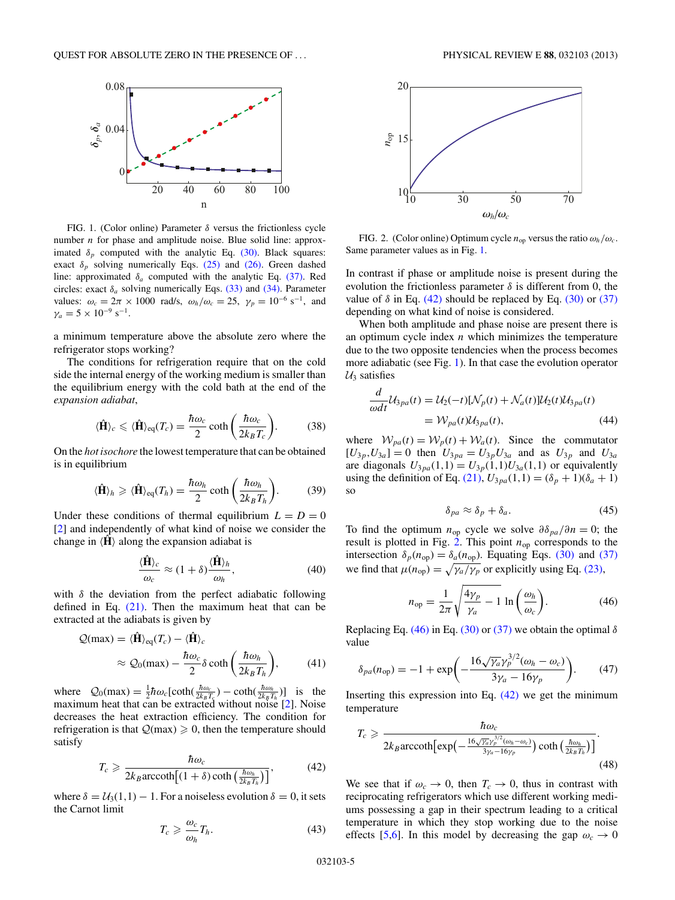<span id="page-4-0"></span>

FIG. 1. (Color online) Parameter *δ* versus the frictionless cycle number *n* for phase and amplitude noise. Blue solid line: approximated  $\delta_p$  computed with the analytic Eq. [\(30\).](#page-3-0) Black squares: exact  $\delta_p$  solving numerically Eqs. [\(25\)](#page-2-0) and [\(26\).](#page-3-0) Green dashed line: approximated  $\delta_a$  computed with the analytic Eq. [\(37\).](#page-3-0) Red circles: exact  $\delta_a$  solving numerically Eqs. [\(33\)](#page-3-0) and [\(34\).](#page-3-0) Parameter values:  $\omega_c = 2\pi \times 1000 \text{ rad/s}, \ \omega_h/\omega_c = 25, \ \gamma_p = 10^{-6} \text{ s}^{-1}, \text{ and}$  $\gamma_a = 5 \times 10^{-9} \text{ s}^{-1}.$ 

a minimum temperature above the absolute zero where the refrigerator stops working?

The conditions for refrigeration require that on the cold side the internal energy of the working medium is smaller than the equilibrium energy with the cold bath at the end of the *expansion adiabat*,

$$
\langle \hat{\mathbf{H}} \rangle_c \leq \langle \hat{\mathbf{H}} \rangle_{\text{eq}}(T_c) = \frac{\hbar \omega_c}{2} \coth\left(\frac{\hbar \omega_c}{2k_B T_c}\right).
$$
 (38)

On the *hot isochore* the lowest temperature that can be obtained is in equilibrium

$$
\langle \hat{\mathbf{H}} \rangle_h \geqslant \langle \hat{\mathbf{H}} \rangle_{\text{eq}}(T_h) = \frac{\hbar \omega_h}{2} \coth\left(\frac{\hbar \omega_h}{2k_B T_h}\right). \tag{39}
$$

Under these conditions of thermal equilibrium  $L = D = 0$ [\[2\]](#page-5-0) and independently of what kind of noise we consider the change in  $\langle H \rangle$  along the expansion adiabat is

$$
\frac{\langle \hat{\mathbf{H}} \rangle_c}{\omega_c} \approx (1 + \delta) \frac{\langle \hat{\mathbf{H}} \rangle_h}{\omega_h},\tag{40}
$$

with *δ* the deviation from the perfect adiabatic following defined in Eq.  $(21)$ . Then the maximum heat that can be extracted at the adiabats is given by

$$
Q(\max) = \langle \hat{\mathbf{H}} \rangle_{\text{eq}}(T_c) - \langle \hat{\mathbf{H}} \rangle_c
$$
  
 
$$
\approx Q_0(\max) - \frac{\hbar \omega_c}{2} \delta \coth\left(\frac{\hbar \omega_h}{2k_B T_h}\right), \tag{41}
$$

where  $Q_0(\text{max}) = \frac{1}{2}\hbar\omega_c[\text{coth}(\frac{\hbar\omega_c}{2k_B T_s}) - \text{coth}(\frac{\hbar\omega_h}{2k_B T_h})]$  is the maximum heat that can be extracted without noise [\[2\]](#page-5-0). Noise decreases the heat extraction efficiency. The condition for refrigeration is that  $Q(\text{max}) \geq 0$ , then the temperature should satisfy

$$
T_c \geq \frac{\hbar \omega_c}{2k_B \operatorname{arccoth} \left[ (1+\delta) \coth \left( \frac{\hbar \omega_h}{2k_B T_h} \right) \right]},\tag{42}
$$

where  $\delta = U_3(1,1) - 1$ . For a noiseless evolution  $\delta = 0$ , it sets the Carnot limit

$$
T_c \geqslant \frac{\omega_c}{\omega_h} T_h. \tag{43}
$$



FIG. 2. (Color online) Optimum cycle  $n_{op}$  versus the ratio  $\omega_h/\omega_c$ . Same parameter values as in Fig. 1.

In contrast if phase or amplitude noise is present during the evolution the frictionless parameter  $\delta$  is different from 0, the value of  $\delta$  in Eq. (42) should be replaced by Eq. [\(30\)](#page-3-0) or [\(37\)](#page-3-0) depending on what kind of noise is considered.

When both amplitude and phase noise are present there is an optimum cycle index *n* which minimizes the temperature due to the two opposite tendencies when the process becomes more adiabatic (see Fig. 1). In that case the evolution operator  $U_3$  satisfies

$$
\frac{d}{\omega dt} \mathcal{U}_{3pa}(t) = \mathcal{U}_2(-t)[\mathcal{N}_p(t) + \mathcal{N}_a(t)]\mathcal{U}_2(t)\mathcal{U}_{3pa}(t)
$$
  
=  $\mathcal{W}_{pa}(t)\mathcal{U}_{3pa}(t),$  (44)

where  $W_{pa}(t) = W_p(t) + W_a(t)$ . Since the commutator  $[U_{3p}, U_{3a}] = 0$  then  $U_{3pa} = U_{3p}U_{3a}$  and as  $U_{3p}$  and  $U_{3a}$ are diagonals  $U_{3pa}(1,1) = U_{3p}(1,1)U_{3a}(1,1)$  or equivalently using the definition of Eq. [\(21\),](#page-2-0)  $U_{3pa}(1,1) = (\delta_p + 1)(\delta_a + 1)$ so

$$
\delta_{pa} \approx \delta_p + \delta_a. \tag{45}
$$

To find the optimum  $n_{op}$  cycle we solve  $\partial \delta_{pa}/\partial n = 0$ ; the result is plotted in Fig. 2. This point  $n_{op}$  corresponds to the intersection  $\delta_p(n_{\text{op}}) = \delta_a(n_{\text{op}})$ . Equating Eqs. [\(30\)](#page-3-0) and [\(37\)](#page-3-0) we find that  $\mu(n_{\text{op}}) = \sqrt{\gamma_a/\gamma_p}$  or explicitly using Eq. [\(23\),](#page-2-0)

$$
n_{\rm op} = \frac{1}{2\pi} \sqrt{\frac{4\gamma_p}{\gamma_a} - 1} \ln\left(\frac{\omega_h}{\omega_c}\right). \tag{46}
$$

Replacing Eq. (46) in Eq. [\(30\)](#page-3-0) or [\(37\)](#page-3-0) we obtain the optimal *δ* value

$$
\delta_{pa}(n_{op}) = -1 + \exp\biggl(-\frac{16\sqrt{\gamma_a}\gamma_p^{3/2}(\omega_h - \omega_c)}{3\gamma_a - 16\gamma_p}\biggr). \tag{47}
$$

Inserting this expression into Eq.  $(42)$  we get the minimum temperature

$$
T_c \geq \frac{\hbar \omega_c}{2k_B \operatorname{arccoth}[\exp\left(-\frac{16\sqrt{\gamma_a}\gamma_p^{3/2}(\omega_h - \omega_c)}{3\gamma_a - 16\gamma_p}\right) \coth\left(\frac{\hbar \omega_h}{2k_B T_h}\right)]}.
$$
\n(48)

We see that if  $\omega_c \to 0$ , then  $T_c \to 0$ , thus in contrast with reciprocating refrigerators which use different working mediums possessing a gap in their spectrum leading to a critical temperature in which they stop working due to the noise effects [\[5,6\]](#page-5-0). In this model by decreasing the gap  $\omega_c \rightarrow 0$